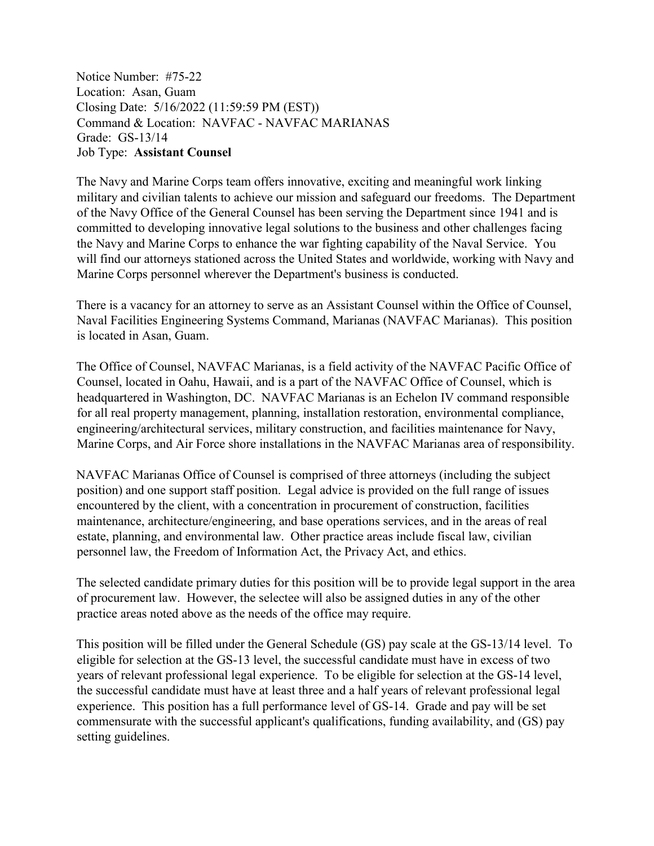Notice Number: #75-22 Location: Asan, Guam Closing Date: 5/16/2022 (11:59:59 PM (EST)) Command & Location: NAVFAC - NAVFAC MARIANAS Grade: GS-13/14 Job Type: **Assistant Counsel**

The Navy and Marine Corps team offers innovative, exciting and meaningful work linking military and civilian talents to achieve our mission and safeguard our freedoms. The Department of the Navy Office of the General Counsel has been serving the Department since 1941 and is committed to developing innovative legal solutions to the business and other challenges facing the Navy and Marine Corps to enhance the war fighting capability of the Naval Service. You will find our attorneys stationed across the United States and worldwide, working with Navy and Marine Corps personnel wherever the Department's business is conducted.

There is a vacancy for an attorney to serve as an Assistant Counsel within the Office of Counsel, Naval Facilities Engineering Systems Command, Marianas (NAVFAC Marianas). This position is located in Asan, Guam.

The Office of Counsel, NAVFAC Marianas, is a field activity of the NAVFAC Pacific Office of Counsel, located in Oahu, Hawaii, and is a part of the NAVFAC Office of Counsel, which is headquartered in Washington, DC. NAVFAC Marianas is an Echelon IV command responsible for all real property management, planning, installation restoration, environmental compliance, engineering/architectural services, military construction, and facilities maintenance for Navy, Marine Corps, and Air Force shore installations in the NAVFAC Marianas area of responsibility.

NAVFAC Marianas Office of Counsel is comprised of three attorneys (including the subject position) and one support staff position. Legal advice is provided on the full range of issues encountered by the client, with a concentration in procurement of construction, facilities maintenance, architecture/engineering, and base operations services, and in the areas of real estate, planning, and environmental law. Other practice areas include fiscal law, civilian personnel law, the Freedom of Information Act, the Privacy Act, and ethics.

The selected candidate primary duties for this position will be to provide legal support in the area of procurement law. However, the selectee will also be assigned duties in any of the other practice areas noted above as the needs of the office may require.

This position will be filled under the General Schedule (GS) pay scale at the GS-13/14 level. To eligible for selection at the GS-13 level, the successful candidate must have in excess of two years of relevant professional legal experience. To be eligible for selection at the GS-14 level, the successful candidate must have at least three and a half years of relevant professional legal experience. This position has a full performance level of GS-14. Grade and pay will be set commensurate with the successful applicant's qualifications, funding availability, and (GS) pay setting guidelines.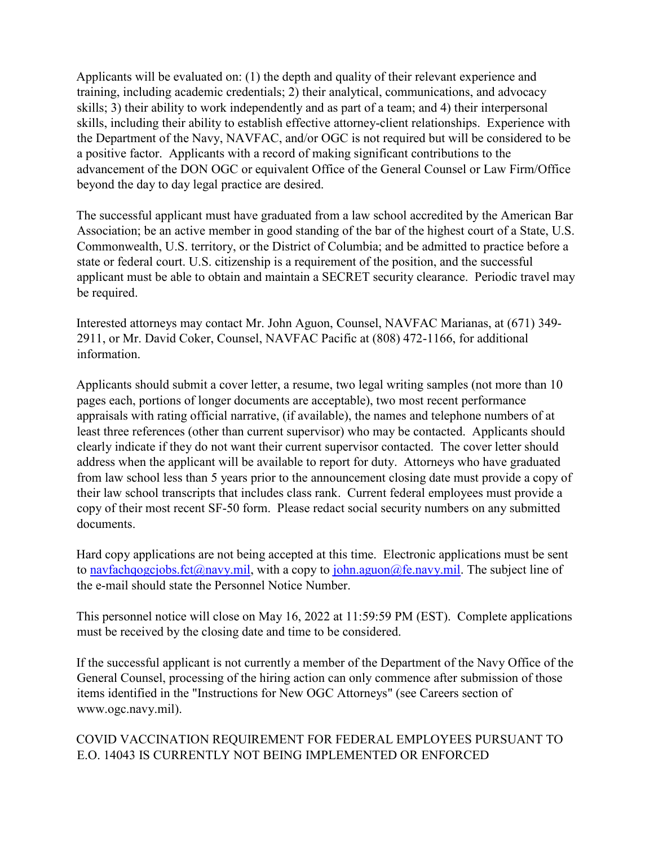Applicants will be evaluated on: (1) the depth and quality of their relevant experience and training, including academic credentials; 2) their analytical, communications, and advocacy skills; 3) their ability to work independently and as part of a team; and 4) their interpersonal skills, including their ability to establish effective attorney-client relationships. Experience with the Department of the Navy, NAVFAC, and/or OGC is not required but will be considered to be a positive factor. Applicants with a record of making significant contributions to the advancement of the DON OGC or equivalent Office of the General Counsel or Law Firm/Office beyond the day to day legal practice are desired.

The successful applicant must have graduated from a law school accredited by the American Bar Association; be an active member in good standing of the bar of the highest court of a State, U.S. Commonwealth, U.S. territory, or the District of Columbia; and be admitted to practice before a state or federal court. U.S. citizenship is a requirement of the position, and the successful applicant must be able to obtain and maintain a SECRET security clearance. Periodic travel may be required.

Interested attorneys may contact Mr. John Aguon, Counsel, NAVFAC Marianas, at (671) 349- 2911, or Mr. David Coker, Counsel, NAVFAC Pacific at (808) 472-1166, for additional information.

Applicants should submit a cover letter, a resume, two legal writing samples (not more than 10 pages each, portions of longer documents are acceptable), two most recent performance appraisals with rating official narrative, (if available), the names and telephone numbers of at least three references (other than current supervisor) who may be contacted. Applicants should clearly indicate if they do not want their current supervisor contacted. The cover letter should address when the applicant will be available to report for duty. Attorneys who have graduated from law school less than 5 years prior to the announcement closing date must provide a copy of their law school transcripts that includes class rank. Current federal employees must provide a copy of their most recent SF-50 form. Please redact social security numbers on any submitted documents.

Hard copy applications are not being accepted at this time. Electronic applications must be sent to [navfachqogcjobs.fct@navy.mil,](mailto:navfachqogcjobs.fct@navy.mil) with a copy to [john.aguon@fe.navy.mil.](mailto:john.aguon@fe.navy.mil) The subject line of the e-mail should state the Personnel Notice Number.

This personnel notice will close on May 16, 2022 at 11:59:59 PM (EST). Complete applications must be received by the closing date and time to be considered.

If the successful applicant is not currently a member of the Department of the Navy Office of the General Counsel, processing of the hiring action can only commence after submission of those items identified in the "Instructions for New OGC Attorneys" (see Careers section of www.ogc.navy.mil).

## COVID VACCINATION REQUIREMENT FOR FEDERAL EMPLOYEES PURSUANT TO E.O. 14043 IS CURRENTLY NOT BEING IMPLEMENTED OR ENFORCED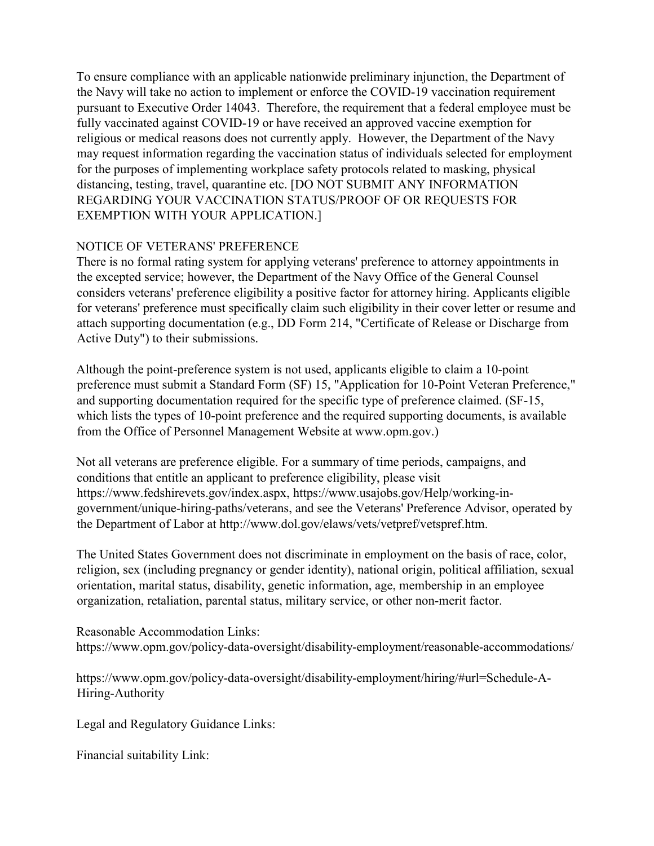To ensure compliance with an applicable nationwide preliminary injunction, the Department of the Navy will take no action to implement or enforce the COVID-19 vaccination requirement pursuant to Executive Order 14043. Therefore, the requirement that a federal employee must be fully vaccinated against COVID-19 or have received an approved vaccine exemption for religious or medical reasons does not currently apply. However, the Department of the Navy may request information regarding the vaccination status of individuals selected for employment for the purposes of implementing workplace safety protocols related to masking, physical distancing, testing, travel, quarantine etc. [DO NOT SUBMIT ANY INFORMATION REGARDING YOUR VACCINATION STATUS/PROOF OF OR REQUESTS FOR EXEMPTION WITH YOUR APPLICATION.]

## NOTICE OF VETERANS' PREFERENCE

There is no formal rating system for applying veterans' preference to attorney appointments in the excepted service; however, the Department of the Navy Office of the General Counsel considers veterans' preference eligibility a positive factor for attorney hiring. Applicants eligible for veterans' preference must specifically claim such eligibility in their cover letter or resume and attach supporting documentation (e.g., DD Form 214, "Certificate of Release or Discharge from Active Duty") to their submissions.

Although the point-preference system is not used, applicants eligible to claim a 10-point preference must submit a Standard Form (SF) 15, "Application for 10-Point Veteran Preference," and supporting documentation required for the specific type of preference claimed. (SF-15, which lists the types of 10-point preference and the required supporting documents, is available from the Office of Personnel Management Website at www.opm.gov.)

Not all veterans are preference eligible. For a summary of time periods, campaigns, and conditions that entitle an applicant to preference eligibility, please visit https://www.fedshirevets.gov/index.aspx, https://www.usajobs.gov/Help/working-ingovernment/unique-hiring-paths/veterans, and see the Veterans' Preference Advisor, operated by the Department of Labor at http://www.dol.gov/elaws/vets/vetpref/vetspref.htm.

The United States Government does not discriminate in employment on the basis of race, color, religion, sex (including pregnancy or gender identity), national origin, political affiliation, sexual orientation, marital status, disability, genetic information, age, membership in an employee organization, retaliation, parental status, military service, or other non-merit factor.

Reasonable Accommodation Links: https://www.opm.gov/policy-data-oversight/disability-employment/reasonable-accommodations/

https://www.opm.gov/policy-data-oversight/disability-employment/hiring/#url=Schedule-A-Hiring-Authority

Legal and Regulatory Guidance Links:

Financial suitability Link: